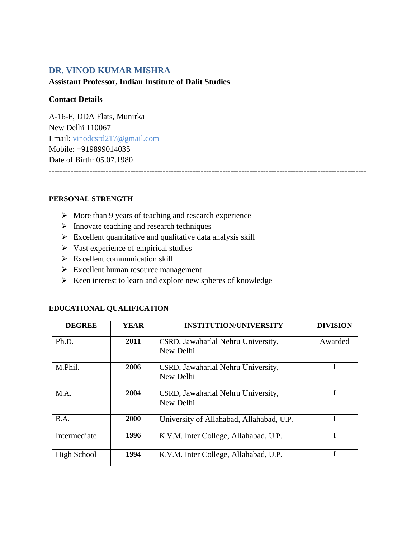# **DR. VINOD KUMAR MISHRA**

### **Assistant Professor, Indian Institute of Dalit Studies**

### **Contact Details**

A-16-F, DDA Flats, Munirka New Delhi 110067 Email: [vinodcsrd217@gmail.com](mailto:vinodcsrd217@gmail.com) Mobile: +919899014035 Date of Birth: 05.07.1980 ---------------------------------------------------------------------------------------------------------------------

#### **PERSONAL STRENGTH**

- $\triangleright$  More than 9 years of teaching and research experience
- $\triangleright$  Innovate teaching and research techniques
- $\triangleright$  Excellent quantitative and qualitative data analysis skill
- $\triangleright$  Vast experience of empirical studies
- $\triangleright$  Excellent communication skill
- $\triangleright$  Excellent human resource management
- $\triangleright$  Keen interest to learn and explore new spheres of knowledge

| <b>DEGREE</b> | <b>YEAR</b> | <b>INSTITUTION/UNIVERSITY</b>                   | <b>DIVISION</b> |
|---------------|-------------|-------------------------------------------------|-----------------|
| Ph.D.         | 2011        | CSRD, Jawaharlal Nehru University,<br>New Delhi | Awarded         |
| M.Phil.       | 2006        | CSRD, Jawaharlal Nehru University,<br>New Delhi |                 |
| M.A.          | 2004        | CSRD, Jawaharlal Nehru University,<br>New Delhi |                 |
| B.A.          | <b>2000</b> | University of Allahabad, Allahabad, U.P.        |                 |
| Intermediate  | 1996        | K.V.M. Inter College, Allahabad, U.P.           |                 |
| High School   | 1994        | K.V.M. Inter College, Allahabad, U.P.           |                 |

#### **EDUCATIONAL QUALIFICATION**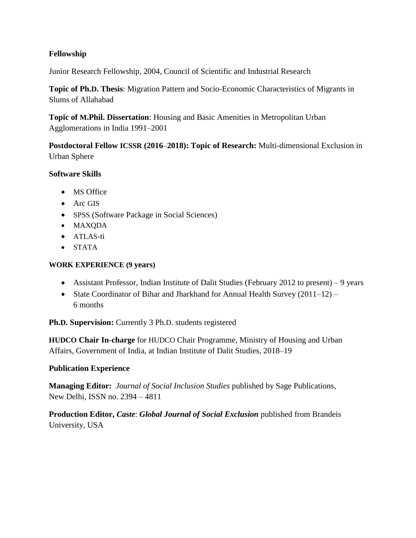# **Fellowship**

Junior Research Fellowship, 2004, Council of Scientific and Industrial Research

**Topic of Ph.D. Thesis**: Migration Pattern and Socio-Economic Characteristics of Migrants in Slums of Allahabad

**Topic of M.Phil. Dissertation**: Housing and Basic Amenities in Metropolitan Urban Agglomerations in India 1991–2001

**Postdoctoral Fellow ICSSR (2016**–**2018): Topic of Research:** Multi-dimensional Exclusion in Urban Sphere

# **Software Skills**

- MS Office
- Arc GIS
- SPSS (Software Package in Social Sciences)
- MAXQDA
- ATLAS-ti
- STATA

### **WORK EXPERIENCE (9 years)**

- Assistant Professor, Indian Institute of Dalit Studies (February 2012 to present) 9 years
- State Coordinator of Bihar and Jharkhand for Annual Health Survey  $(2011-12)$  6 months

**Ph.D. Supervision:** Currently 3 Ph.D. students registered

**HUDCO Chair In-charge** for HUDCO Chair Programme, Ministry of Housing and Urban Affairs, Government of India, at Indian Institute of Dalit Studies, 2018–19

# **Publication Experience**

**Managing Editor:** *Journal of Social Inclusion Studies* published by Sage Publications, New Delhi, ISSN no. 2394 – 4811

**Production Editor,** *Caste*: *Global Journal of Social Exclusion* published from Brandeis University, USA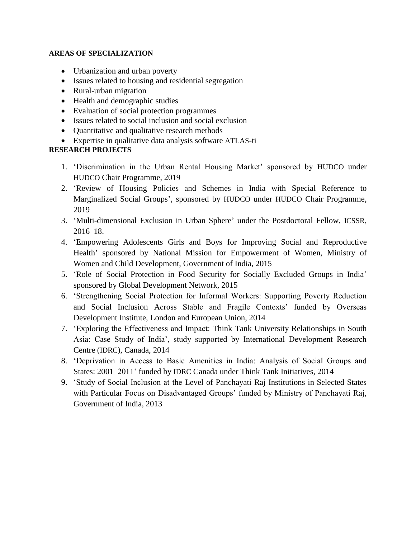#### **AREAS OF SPECIALIZATION**

- Urbanization and urban poverty
- Issues related to housing and residential segregation
- Rural-urban migration
- Health and demographic studies
- Evaluation of social protection programmes
- Issues related to social inclusion and social exclusion
- Quantitative and qualitative research methods
- Expertise in qualitative data analysis software ATLAS-ti

# **RESEARCH PROJECTS**

- 1. 'Discrimination in the Urban Rental Housing Market' sponsored by HUDCO under HUDCO Chair Programme, 2019
- 2. 'Review of Housing Policies and Schemes in India with Special Reference to Marginalized Social Groups', sponsored by HUDCO under HUDCO Chair Programme, 2019
- 3. 'Multi-dimensional Exclusion in Urban Sphere' under the Postdoctoral Fellow, ICSSR, 2016–18.
- 4. 'Empowering Adolescents Girls and Boys for Improving Social and Reproductive Health' sponsored by National Mission for Empowerment of Women, Ministry of Women and Child Development, Government of India, 2015
- 5. 'Role of Social Protection in Food Security for Socially Excluded Groups in India' sponsored by Global Development Network, 2015
- 6. 'Strengthening Social Protection for Informal Workers: Supporting Poverty Reduction and Social Inclusion Across Stable and Fragile Contexts' funded by Overseas Development Institute, London and European Union, 2014
- 7. 'Exploring the Effectiveness and Impact: Think Tank University Relationships in South Asia: Case Study of India', study supported by International Development Research Centre (IDRC), Canada, 2014
- 8. 'Deprivation in Access to Basic Amenities in India: Analysis of Social Groups and States: 2001–2011' funded by IDRC Canada under Think Tank Initiatives, 2014
- 9. 'Study of Social Inclusion at the Level of Panchayati Raj Institutions in Selected States with Particular Focus on Disadvantaged Groups' funded by Ministry of Panchayati Raj, Government of India, 2013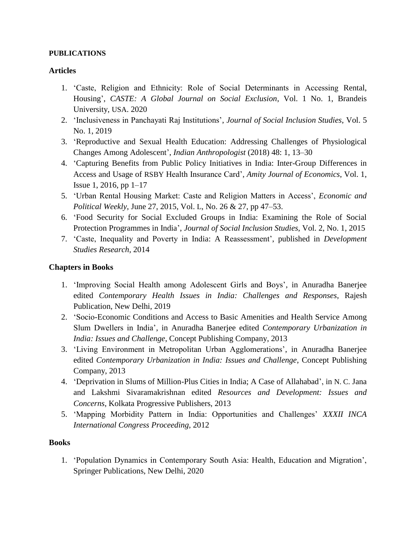#### **PUBLICATIONS**

### **Articles**

- 1. 'Caste, Religion and Ethnicity: Role of Social Determinants in Accessing Rental, Housing', *CASTE: A Global Journal on Social Exclusion*, Vol. 1 No. 1, Brandeis University, USA. 2020
- 2. 'Inclusiveness in Panchayati Raj Institutions', *Journal of Social Inclusion Studies*, Vol. 5 No. 1, 2019
- 3. 'Reproductive and Sexual Health Education: Addressing Challenges of Physiological Changes Among Adolescent', *Indian Anthropologist* (2018) 48: 1, 13–30
- 4. 'Capturing Benefits from Public Policy Initiatives in India: Inter-Group Differences in Access and Usage of RSBY Health Insurance Card', *Amity Journal of Economics*, Vol. 1, Issue 1, 2016, pp 1–17
- 5. 'Urban Rental Housing Market: Caste and Religion Matters in Access', *Economic and Political Weekly*, June 27, 2015, Vol. L, No. 26 & 27, pp 47–53.
- 6. 'Food Security for Social Excluded Groups in India: Examining the Role of Social Protection Programmes in India', *Journal of Social Inclusion Studies*, Vol. 2, No. 1, 2015
- 7. 'Caste, Inequality and Poverty in India: A Reassessment', published in *Development Studies Research*, 2014

### **Chapters in Books**

- 1. 'Improving Social Health among Adolescent Girls and Boys', in Anuradha Banerjee edited *Contemporary Health Issues in India: Challenges and Responses*, Rajesh Publication, New Delhi, 2019
- 2. 'Socio-Economic Conditions and Access to Basic Amenities and Health Service Among Slum Dwellers in India', in Anuradha Banerjee edited *Contemporary Urbanization in India: Issues and Challenge*, Concept Publishing Company, 2013
- 3. 'Living Environment in Metropolitan Urban Agglomerations', in Anuradha Banerjee edited *Contemporary Urbanization in India: Issues and Challenge*, Concept Publishing Company, 2013
- 4. 'Deprivation in Slums of Million-Plus Cities in India; A Case of Allahabad', in N. C. Jana and Lakshmi Sivaramakrishnan edited *Resources and Development: Issues and Concerns*, Kolkata Progressive Publishers, 2013
- 5. 'Mapping Morbidity Pattern in India: Opportunities and Challenges' *XXXII INCA International Congress Proceeding*, 2012

#### **Books**

1. 'Population Dynamics in Contemporary South Asia: Health, Education and Migration', Springer Publications, New Delhi, 2020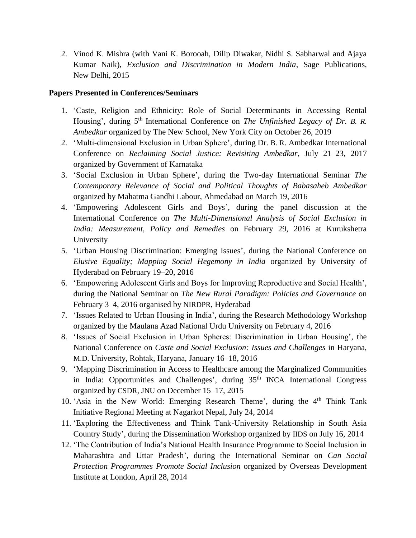2. Vinod K. Mishra (with Vani K. Borooah, Dilip Diwakar, Nidhi S. Sabharwal and Ajaya Kumar Naik), *Exclusion and Discrimination in Modern India*, Sage Publications, New Delhi, 2015

### **Papers Presented in Conferences/Seminars**

- 1. 'Caste, Religion and Ethnicity: Role of Social Determinants in Accessing Rental Housing', during 5th International Conference on *The Unfinished Legacy of Dr. B. R. Ambedkar* organized by The New School, New York City on October 26, 2019
- 2. 'Multi-dimensional Exclusion in Urban Sphere', during Dr. B. R. Ambedkar International Conference on *Reclaiming Social Justice: Revisiting Ambedkar*, July 21–23, 2017 organized by Government of Karnataka
- 3. 'Social Exclusion in Urban Sphere', during the Two-day International Seminar *The Contemporary Relevance of Social and Political Thoughts of Babasaheb Ambedkar* organized by Mahatma Gandhi Labour, Ahmedabad on March 19, 2016
- 4. 'Empowering Adolescent Girls and Boys', during the panel discussion at the International Conference on *The Multi-Dimensional Analysis of Social Exclusion in India: Measurement, Policy and Remedies* on February 29, 2016 at Kurukshetra University
- 5. 'Urban Housing Discrimination: Emerging Issues', during the National Conference on *Elusive Equality; Mapping Social Hegemony in India* organized by University of Hyderabad on February 19–20, 2016
- 6. 'Empowering Adolescent Girls and Boys for Improving Reproductive and Social Health', during the National Seminar on *The New Rural Paradigm: Policies and Governance* on February 3–4, 2016 organised by NIRDPR, Hyderabad
- 7. 'Issues Related to Urban Housing in India', during the Research Methodology Workshop organized by the Maulana Azad National Urdu University on February 4, 2016
- 8. 'Issues of Social Exclusion in Urban Spheres: Discrimination in Urban Housing', the National Conference on *Caste and Social Exclusion: Issues and Challenges* in Haryana, M.D. University, Rohtak, Haryana, January 16–18, 2016
- 9. 'Mapping Discrimination in Access to Healthcare among the Marginalized Communities in India: Opportunities and Challenges', during 35<sup>th</sup> INCA International Congress organized by CSDR, JNU on December 15–17, 2015
- 10. 'Asia in the New World: Emerging Research Theme', during the  $4<sup>th</sup>$  Think Tank Initiative Regional Meeting at Nagarkot Nepal, July 24, 2014
- 11. 'Exploring the Effectiveness and Think Tank-University Relationship in South Asia Country Study', during the Dissemination Workshop organized by IIDS on July 16, 2014
- 12. 'The Contribution of India's National Health Insurance Programme to Social Inclusion in Maharashtra and Uttar Pradesh', during the International Seminar on *Can Social Protection Programmes Promote Social Inclusion* organized by Overseas Development Institute at London, April 28, 2014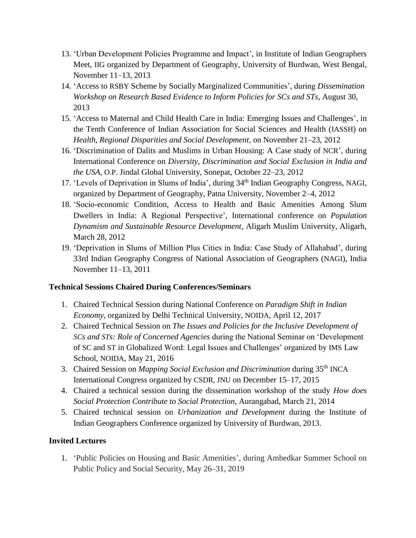- 13. 'Urban Development Policies Programme and Impact', in Institute of Indian Geographers Meet, IIG organized by Department of Geography, University of Burdwan, West Bengal, November 11–13, 2013
- 14. 'Access to RSBY Scheme by Socially Marginalized Communities', during *Dissemination Workshop on Research Based Evidence to Inform Policies for SCs and STs*, August 30, 2013
- 15. 'Access to Maternal and Child Health Care in India: Emerging Issues and Challenges', in the Tenth Conference of Indian Association for Social Sciences and Health (IASSH) on *Health, Regional Disparities and Social Development*, on November 21–23, 2012
- 16. 'Discrimination of Dalits and Muslims in Urban Housing: A Case study of NCR', during International Conference on *Diversity, Discrimination and Social Exclusion in India and the USA*, O.P. Jindal Global University, Sonepat, October 22–23, 2012
- 17. 'Levels of Deprivation in Slums of India', during 34<sup>th</sup> Indian Geography Congress, NAGI, organized by Department of Geography, Patna University, November 2–4, 2012
- 18. 'Socio-economic Condition, Access to Health and Basic Amenities Among Slum Dwellers in India: A Regional Perspective', International conference on *Population Dynamism and Sustainable Resource Development*, Aligarh Muslim University, Aligarh, March 28, 2012
- 19. 'Deprivation in Slums of Million Plus Cities in India: Case Study of Allahabad', during 33rd Indian Geography Congress of National Association of Geographers (NAGI), India November 11–13, 2011

# **Technical Sessions Chaired During Conferences/Seminars**

- 1. Chaired Technical Session during National Conference on *Paradigm Shift in Indian Economy*, organized by Delhi Technical University, NOIDA, April 12, 2017
- 2. Chaired Technical Session on *The Issues and Policies for the Inclusive Development of SCs and STs: Role of Concerned Agencies* during the National Seminar on 'Development of SC and ST in Globalized Word: Legal Issues and Challenges' organized by IMS Law School, NOIDA, May 21, 2016
- 3. Chaired Session on *Mapping Social Exclusion and Discrimination* during 35th INCA International Congress organized by CSDR, JNU on December 15–17, 2015
- 4. Chaired a technical session during the dissemination workshop of the study *How does Social Protection Contribute to Social Protection*, Aurangabad, March 21, 2014
- 5. Chaired technical session on *Urbanization and Development* during the Institute of Indian Geographers Conference organized by University of Burdwan, 2013.

# **Invited Lectures**

1. 'Public Policies on Housing and Basic Amenities', during Ambedkar Summer School on Public Policy and Social Security, May 26–31, 2019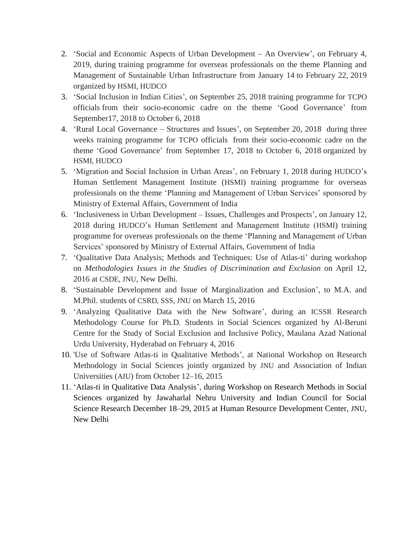- 2. 'Social and Economic Aspects of Urban Development An Overview', on February 4, 2019, during training programme for overseas professionals on the theme Planning and Management of Sustainable Urban Infrastructure from January 14 to February 22, 2019 organized by HSMI, HUDCO
- 3. 'Social Inclusion in Indian Cities', on September 25, 2018 training programme for TCPO officials from their socio-economic cadre on the theme 'Good Governance' from September17, 2018 to October 6, 2018
- 4. 'Rural Local Governance Structures and Issues', on September 20, 2018 during three weeks training programme for TCPO officials from their socio-economic cadre on the theme 'Good Governance' from September 17, 2018 to October 6, 2018 organized by HSMI, HUDCO
- 5. 'Migration and Social Inclusion in Urban Areas', on February 1, 2018 during HUDCO's Human Settlement Management Institute (HSMI) training programme for overseas professionals on the theme 'Planning and Management of Urban Services' sponsored by Ministry of External Affairs, Government of India
- 6. 'Inclusiveness in Urban Development Issues, Challenges and Prospects', on January 12, 2018 during HUDCO's Human Settlement and Management Institute (HSMI) training programme for overseas professionals on the theme 'Planning and Management of Urban Services' sponsored by Ministry of External Affairs, Government of India
- 7. 'Qualitative Data Analysis; Methods and Techniques: Use of Atlas-ti' during workshop on *Methodologies Issues in the Studies of Discrimination and Exclusion* on April 12, 2016 at CSDE, JNU, New Delhi.
- 8. 'Sustainable Development and Issue of Marginalization and Exclusion', to M.A. and M.Phil. students of CSRD, SSS, JNU on March 15, 2016
- 9. 'Analyzing Qualitative Data with the New Software', during an ICSSR Research Methodology Course for Ph.D. Students in Social Sciences organized by Al-Beruni Centre for the Study of Social Exclusion and Inclusive Policy, Maulana Azad National Urdu University, Hyderabad on February 4, 2016
- 10. 'Use of Software Atlas-ti in Qualitative Methods', at National Workshop on Research Methodology in Social Sciences jointly organized by JNU and Association of Indian Universities (AIU) from October 12–16, 2015
- 11. 'Atlas-ti in Qualitative Data Analysis', during Workshop on Research Methods in Social Sciences organized by Jawaharlal Nehru University and Indian Council for Social Science Research December 18–29, 2015 at Human Resource Development Center, JNU, New Delhi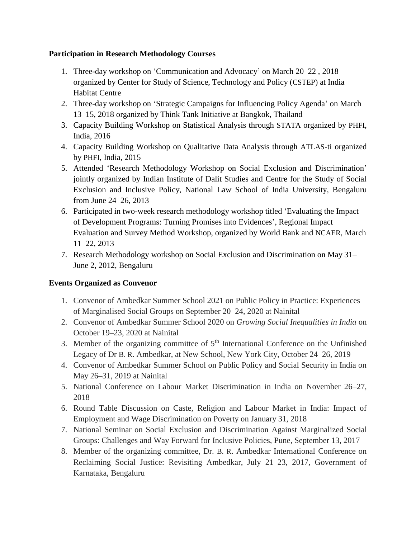# **Participation in Research Methodology Courses**

- 1. Three-day workshop on 'Communication and Advocacy' on March 20–22 , 2018 organized by Center for Study of Science, Technology and Policy (CSTEP) at India Habitat Centre
- 2. Three-day workshop on 'Strategic Campaigns for Influencing Policy Agenda' on March 13–15, 2018 organized by Think Tank Initiative at Bangkok, Thailand
- 3. Capacity Building Workshop on Statistical Analysis through STATA organized by PHFI, India, 2016
- 4. Capacity Building Workshop on Qualitative Data Analysis through ATLAS-ti organized by PHFI, India, 2015
- 5. Attended 'Research Methodology Workshop on Social Exclusion and Discrimination' jointly organized by Indian Institute of Dalit Studies and Centre for the Study of Social Exclusion and Inclusive Policy, National Law School of India University, Bengaluru from June 24–26, 2013
- 6. Participated in two-week research methodology workshop titled 'Evaluating the Impact of Development Programs: Turning Promises into Evidences', Regional Impact Evaluation and Survey Method Workshop, organized by World Bank and NCAER, March 11–22, 2013
- 7. Research Methodology workshop on Social Exclusion and Discrimination on May 31– June 2, 2012, Bengaluru

# **Events Organized as Convenor**

- 1. Convenor of Ambedkar Summer School 2021 on Public Policy in Practice: Experiences of Marginalised Social Groups on September 20–24, 2020 at Nainital
- 2. Convenor of Ambedkar Summer School 2020 on *Growing Social Inequalities in India* on October 19–23, 2020 at Nainital
- 3. Member of the organizing committee of  $5<sup>th</sup>$  International Conference on the Unfinished Legacy of Dr B. R. Ambedkar, at New School, New York City, October 24–26, 2019
- 4. Convenor of Ambedkar Summer School on Public Policy and Social Security in India on May 26–31, 2019 at Nainital
- 5. National Conference on Labour Market Discrimination in India on November 26–27, 2018
- 6. Round Table Discussion on Caste, Religion and Labour Market in India: Impact of Employment and Wage Discrimination on Poverty on January 31, 2018
- 7. National Seminar on Social Exclusion and Discrimination Against Marginalized Social Groups: Challenges and Way Forward for Inclusive Policies, Pune, September 13, 2017
- 8. Member of the organizing committee, Dr. B. R. Ambedkar International Conference on Reclaiming Social Justice: Revisiting Ambedkar, July 21–23, 2017, Government of Karnataka, Bengaluru